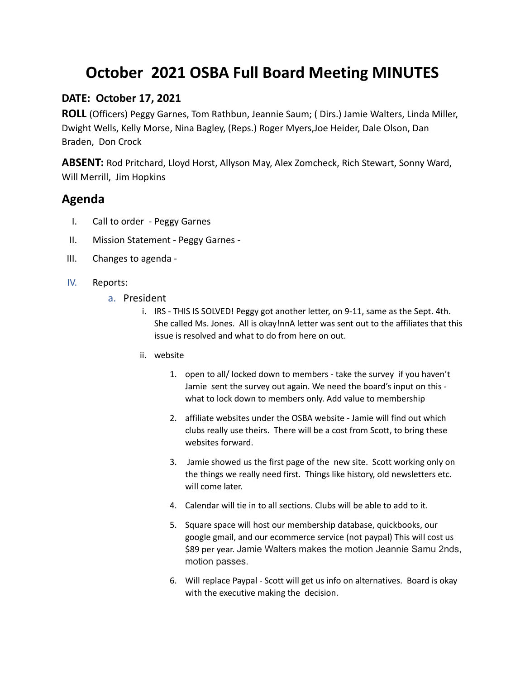## **October 2021 OSBA Full Board Meeting MINUTES**

## **DATE: October 17, 2021**

**ROLL** (Officers) Peggy Garnes, Tom Rathbun, Jeannie Saum; ( Dirs.) Jamie Walters, Linda Miller, Dwight Wells, Kelly Morse, Nina Bagley, (Reps.) Roger Myers,Joe Heider, Dale Olson, Dan Braden, Don Crock

**ABSENT:** Rod Pritchard, Lloyd Horst, Allyson May, Alex Zomcheck, Rich Stewart, Sonny Ward, Will Merrill, Jim Hopkins

## **Agenda**

- I. Call to order Peggy Garnes
- II. Mission Statement Peggy Garnes -
- III. Changes to agenda -
- IV. Reports:
	- a. President
		- i. IRS THIS IS SOLVED! Peggy got another letter, on 9-11, same as the Sept. 4th. She called Ms. Jones. All is okay!nnA letter was sent out to the affiliates that this issue is resolved and what to do from here on out.
		- ii. website
			- 1. open to all/ locked down to members take the survey if you haven't Jamie sent the survey out again. We need the board's input on this what to lock down to members only. Add value to membership
			- 2. affiliate websites under the OSBA website Jamie will find out which clubs really use theirs. There will be a cost from Scott, to bring these websites forward.
			- 3. Jamie showed us the first page of the new site. Scott working only on the things we really need first. Things like history, old newsletters etc. will come later.
			- 4. Calendar will tie in to all sections. Clubs will be able to add to it.
			- 5. Square space will host our membership database, quickbooks, our google gmail, and our ecommerce service (not paypal) This will cost us \$89 per year. Jamie Walters makes the motion Jeannie Samu 2nds, motion passes.
			- 6. Will replace Paypal Scott will get us info on alternatives. Board is okay with the executive making the decision.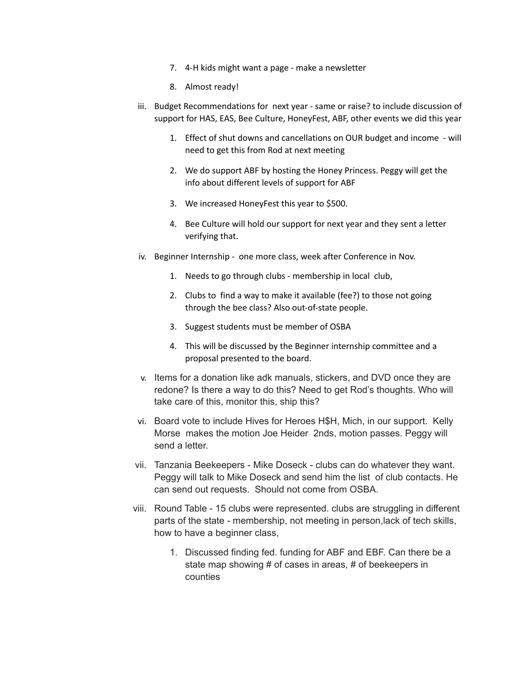- 7. 4-H kids might want a page make a newsletter
- 8. Almost ready!
- iii. Budget Recommendations for next year same or raise? to include discussion of support for HAS, EAS, Bee Culture, HoneyFest, ABF, other events we did this year
	- 1. Effect of shut downs and cancellations on OUR budget and income will need to get this from Rod at next meeting
	- 2. We do support ABF by hosting the Honey Princess. Peggy will get the info about different levels of support for ABF
	- 3. We increased HoneyFest this year to \$500.
	- 4. Bee Culture will hold our support for next year and they sent a letter verifying that.
- iv. Beginner Internship one more class, week after Conference in Nov.
	- 1. Needs to go through clubs membership in local club,
	- 2. Clubs to find a way to make it available (fee?) to those not going through the bee class? Also out-of-state people.
	- 3. Suggest students must be member of OSBA
	- 4. This will be discussed by the Beginner internship committee and a proposal presented to the board.
- v. Items for a donation like adk manuals, stickers, and DVD once they are redone? Is there a way to do this? Need to get Rod's thoughts. Who will take care of this, monitor this, ship this?
- vi. Board vote to include Hives for Heroes H\$H, Mich, in our support. Kelly Morse makes the motion Joe Heider 2nds, motion passes. Peggy will send a letter.
- vii. Tanzania Beekeepers Mike Doseck clubs can do whatever they want. Peggy will talk to Mike Doseck and send him the list of club contacts. He can send out requests. Should not come from OSBA.
- viii. Round Table 15 clubs were represented. clubs are struggling in different parts of the state - membership, not meeting in person,lack of tech skills, how to have a beginner class,
	- 1. Discussed finding fed. funding for ABF and EBF. Can there be a state map showing # of cases in areas, # of beekeepers in counties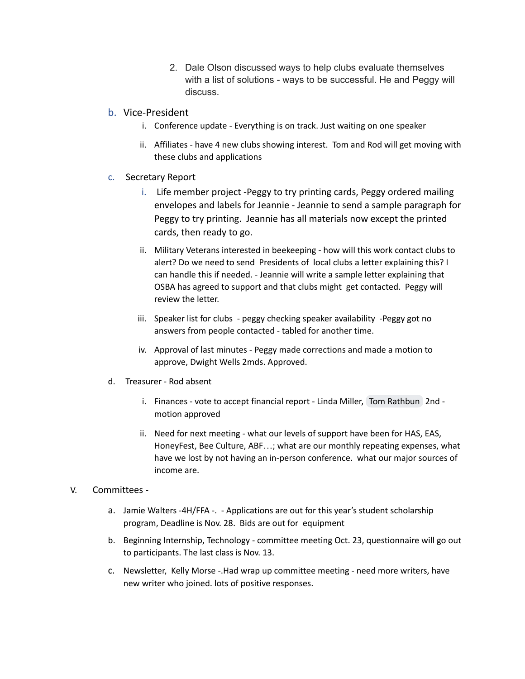- 2. Dale Olson discussed ways to help clubs evaluate themselves with a list of solutions - ways to be successful. He and Peggy will discuss.
- b. Vice-President
	- i. Conference update Everything is on track. Just waiting on one speaker
	- ii. Affiliates have 4 new clubs showing interest. Tom and Rod will get moving with these clubs and applications
- c. Secretary Report
	- i. Life member project -Peggy to try printing cards, Peggy ordered mailing envelopes and labels for Jeannie - Jeannie to send a sample paragraph for Peggy to try printing. Jeannie has all materials now except the printed cards, then ready to go.
	- ii. Military Veterans interested in beekeeping how will this work contact clubs to alert? Do we need to send Presidents of local clubs a letter explaining this? I can handle this if needed. - Jeannie will write a sample letter explaining that OSBA has agreed to support and that clubs might get contacted. Peggy will review the letter.
	- iii. Speaker list for clubs peggy checking speaker availability -Peggy got no answers from people contacted - tabled for another time.
	- iv. Approval of last minutes Peggy made corrections and made a motion to approve, Dwight Wells 2mds. Approved.
- d. Treasurer Rod absent
	- i. Finances vote to accept financial report Linda Miller, Tom [Rathbun](mailto:tmr7212@yahoo.com) 2nd motion approved
	- ii. Need for next meeting what our levels of support have been for HAS, EAS, HoneyFest, Bee Culture, ABF…; what are our monthly repeating expenses, what have we lost by not having an in-person conference. what our major sources of income are.

## V. Committees -

- a. Jamie Walters -4H/FFA -. Applications are out for this year's student scholarship program, Deadline is Nov. 28. Bids are out for equipment
- b. Beginning Internship, Technology committee meeting Oct. 23, questionnaire will go out to participants. The last class is Nov. 13.
- c. Newsletter, Kelly Morse -.Had wrap up committee meeting need more writers, have new writer who joined. lots of positive responses.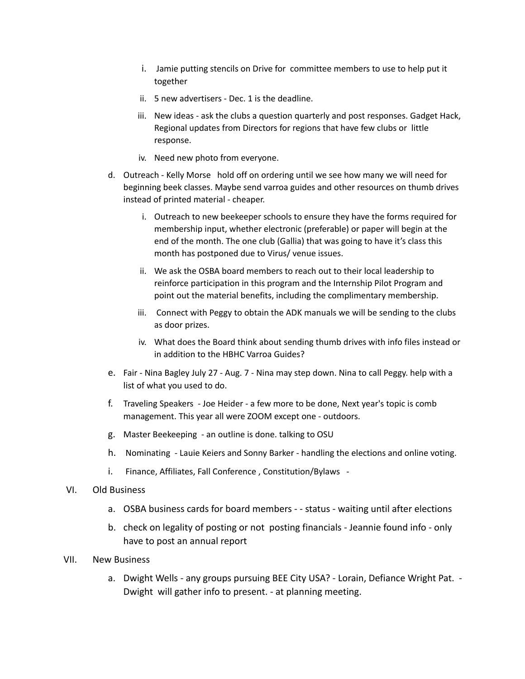- i. Jamie putting stencils on Drive for committee members to use to help put it together
- ii. 5 new advertisers Dec. 1 is the deadline.
- iii. New ideas ask the clubs a question quarterly and post responses. Gadget Hack, Regional updates from Directors for regions that have few clubs or little response.
- iv. Need new photo from everyone.
- d. Outreach Kelly Morse hold off on ordering until we see how many we will need for beginning beek classes. Maybe send varroa guides and other resources on thumb drives instead of printed material - cheaper.
	- i. Outreach to new beekeeper schools to ensure they have the forms required for membership input, whether electronic (preferable) or paper will begin at the end of the month. The one club (Gallia) that was going to have it's class this month has postponed due to Virus/ venue issues.
	- ii. We ask the OSBA board members to reach out to their local leadership to reinforce participation in this program and the Internship Pilot Program and point out the material benefits, including the complimentary membership.
	- iii. Connect with Peggy to obtain the ADK manuals we will be sending to the clubs as door prizes.
	- iv. What does the Board think about sending thumb drives with info files instead or in addition to the HBHC Varroa Guides?
- e. Fair Nina Bagley July 27 Aug. 7 Nina may step down. Nina to call Peggy. help with a list of what you used to do.
- f. Traveling Speakers Joe Heider a few more to be done, Next year's topic is comb management. This year all were ZOOM except one - outdoors.
- g. Master Beekeeping an outline is done. talking to OSU
- h. Nominating Lauie Keiers and Sonny Barker handling the elections and online voting.
- i. Finance, Affiliates, Fall Conference , Constitution/Bylaws -
- VI. Old Business
	- a. OSBA business cards for board members - status waiting until after elections
	- b. check on legality of posting or not posting financials Jeannie found info only have to post an annual report
- VII. New Business
	- a. Dwight Wells any groups pursuing BEE City USA? Lorain, Defiance Wright Pat. Dwight will gather info to present. - at planning meeting.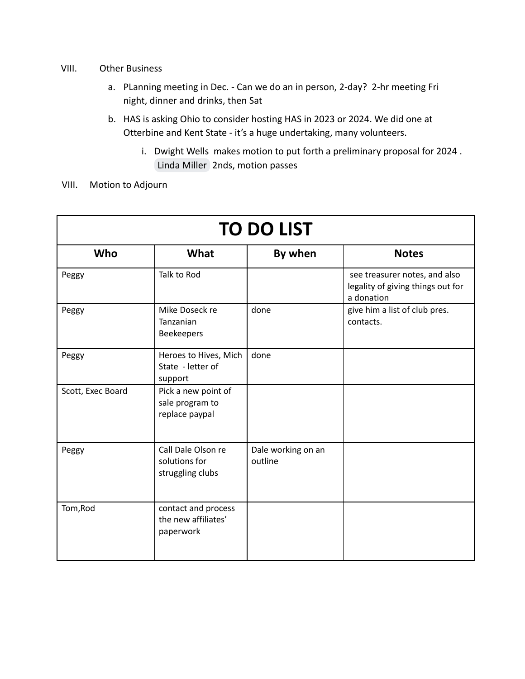- VIII. Other Business
	- a. PLanning meeting in Dec. Can we do an in person, 2-day? 2-hr meeting Fri night, dinner and drinks, then Sat
	- b. HAS is asking Ohio to consider hosting HAS in 2023 or 2024. We did one at Otterbine and Kent State - it's a huge undertaking, many volunteers.
		- i. Dwight Wells makes motion to put forth a preliminary proposal for 2024 . [Linda Miller](mailto:oneoldbroadwithhives@gmail.com) 2nds, motion passes
- VIII. Motion to Adjourn

| <b>TO DO LIST</b> |                                                          |                               |                                                                                  |  |  |
|-------------------|----------------------------------------------------------|-------------------------------|----------------------------------------------------------------------------------|--|--|
| Who               | What                                                     | By when                       | <b>Notes</b>                                                                     |  |  |
| Peggy             | Talk to Rod                                              |                               | see treasurer notes, and also<br>legality of giving things out for<br>a donation |  |  |
| Peggy             | Mike Doseck re<br>Tanzanian<br><b>Beekeepers</b>         | done                          | give him a list of club pres.<br>contacts.                                       |  |  |
| Peggy             | Heroes to Hives, Mich<br>State - letter of<br>support    | done                          |                                                                                  |  |  |
| Scott, Exec Board | Pick a new point of<br>sale program to<br>replace paypal |                               |                                                                                  |  |  |
| Peggy             | Call Dale Olson re<br>solutions for<br>struggling clubs  | Dale working on an<br>outline |                                                                                  |  |  |
| Tom, Rod          | contact and process<br>the new affiliates'<br>paperwork  |                               |                                                                                  |  |  |